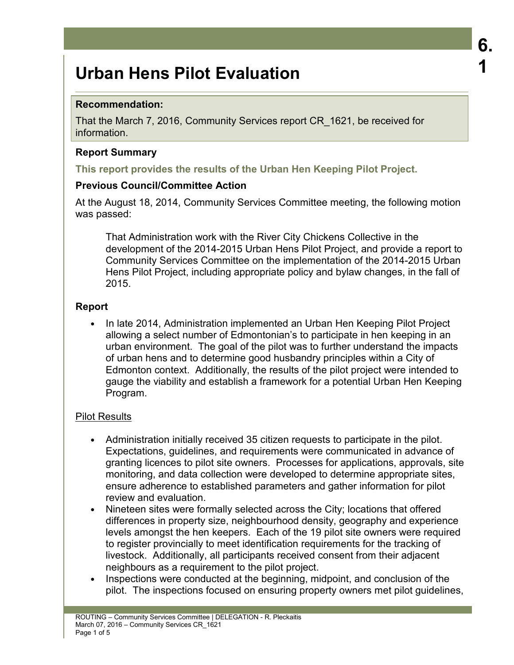# **Recommendation:**

That the March 7, 2016, Community Services report CR\_1621, be received for information.

## **Report Summary**

**This report provides the results of the Urban Hen Keeping Pilot Project.** 

## **Previous Council/Committee Action**

At the August 18, 2014, Community Services Committee meeting, the following motion was passed:

That Administration work with the River City Chickens Collective in the development of the 2014-2015 Urban Hens Pilot Project, and provide a report to Community Services Committee on the implementation of the 2014-2015 Urban Hens Pilot Project, including appropriate policy and bylaw changes, in the fall of 2015.

**6.** 

**1** 

# **Report**

• In late 2014, Administration implemented an Urban Hen Keeping Pilot Project allowing a select number of Edmontonian's to participate in hen keeping in an urban environment. The goal of the pilot was to further understand the impacts of urban hens and to determine good husbandry principles within a City of Edmonton context. Additionally, the results of the pilot project were intended to gauge the viability and establish a framework for a potential Urban Hen Keeping Program.

#### Pilot Results

- Administration initially received 35 citizen requests to participate in the pilot. Expectations, guidelines, and requirements were communicated in advance of granting licences to pilot site owners. Processes for applications, approvals, site monitoring, and data collection were developed to determine appropriate sites, ensure adherence to established parameters and gather information for pilot review and evaluation.
- Nineteen sites were formally selected across the City; locations that offered differences in property size, neighbourhood density, geography and experience levels amongst the hen keepers. Each of the 19 pilot site owners were required to register provincially to meet identification requirements for the tracking of livestock. Additionally, all participants received consent from their adjacent neighbours as a requirement to the pilot project.
- Inspections were conducted at the beginning, midpoint, and conclusion of the pilot. The inspections focused on ensuring property owners met pilot guidelines,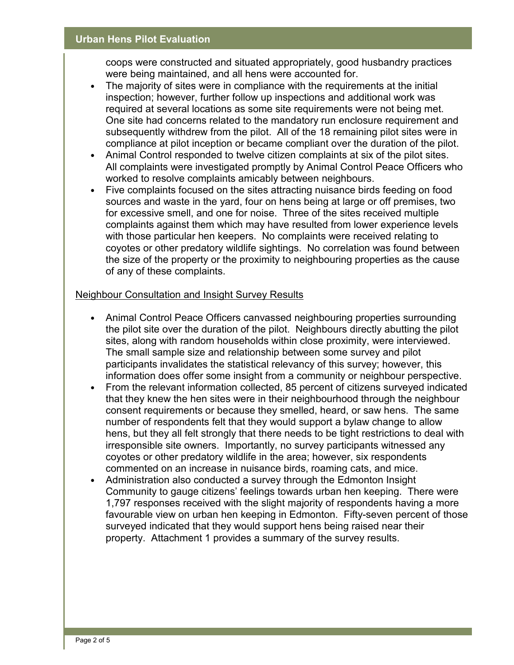coops were constructed and situated appropriately, good husbandry practices were being maintained, and all hens were accounted for.

- The majority of sites were in compliance with the requirements at the initial inspection; however, further follow up inspections and additional work was required at several locations as some site requirements were not being met. One site had concerns related to the mandatory run enclosure requirement and subsequently withdrew from the pilot. All of the 18 remaining pilot sites were in compliance at pilot inception or became compliant over the duration of the pilot.
- Animal Control responded to twelve citizen complaints at six of the pilot sites. All complaints were investigated promptly by Animal Control Peace Officers who worked to resolve complaints amicably between neighbours.
- Five complaints focused on the sites attracting nuisance birds feeding on food sources and waste in the yard, four on hens being at large or off premises, two for excessive smell, and one for noise. Three of the sites received multiple complaints against them which may have resulted from lower experience levels with those particular hen keepers. No complaints were received relating to coyotes or other predatory wildlife sightings. No correlation was found between the size of the property or the proximity to neighbouring properties as the cause of any of these complaints.

## Neighbour Consultation and Insight Survey Results

- Animal Control Peace Officers canvassed neighbouring properties surrounding the pilot site over the duration of the pilot. Neighbours directly abutting the pilot sites, along with random households within close proximity, were interviewed. The small sample size and relationship between some survey and pilot participants invalidates the statistical relevancy of this survey; however, this information does offer some insight from a community or neighbour perspective.
- From the relevant information collected, 85 percent of citizens surveyed indicated that they knew the hen sites were in their neighbourhood through the neighbour consent requirements or because they smelled, heard, or saw hens. The same number of respondents felt that they would support a bylaw change to allow hens, but they all felt strongly that there needs to be tight restrictions to deal with irresponsible site owners. Importantly, no survey participants witnessed any coyotes or other predatory wildlife in the area; however, six respondents commented on an increase in nuisance birds, roaming cats, and mice.
- Administration also conducted a survey through the Edmonton Insight Community to gauge citizens' feelings towards urban hen keeping. There were 1,797 responses received with the slight majority of respondents having a more favourable view on urban hen keeping in Edmonton. Fifty-seven percent of those surveyed indicated that they would support hens being raised near their property. Attachment 1 provides a summary of the survey results.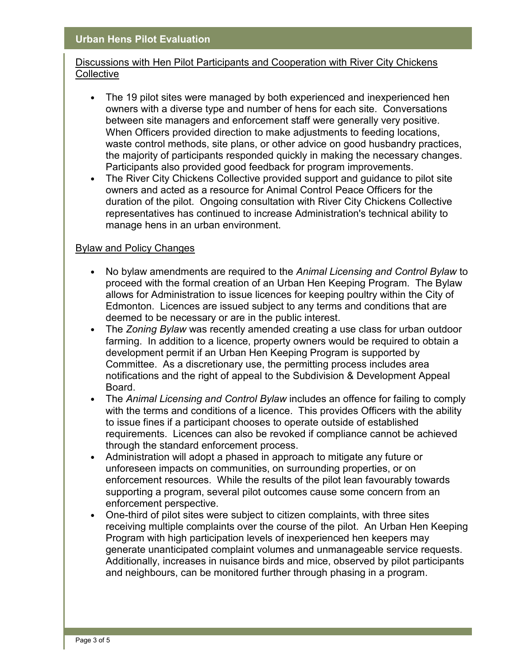## Discussions with Hen Pilot Participants and Cooperation with River City Chickens **Collective**

- The 19 pilot sites were managed by both experienced and inexperienced hen owners with a diverse type and number of hens for each site. Conversations between site managers and enforcement staff were generally very positive. When Officers provided direction to make adjustments to feeding locations, waste control methods, site plans, or other advice on good husbandry practices, the majority of participants responded quickly in making the necessary changes. Participants also provided good feedback for program improvements.
- The River City Chickens Collective provided support and guidance to pilot site owners and acted as a resource for Animal Control Peace Officers for the duration of the pilot. Ongoing consultation with River City Chickens Collective representatives has continued to increase Administration's technical ability to manage hens in an urban environment.

#### Bylaw and Policy Changes

- No bylaw amendments are required to the *Animal Licensing and Control Bylaw* to proceed with the formal creation of an Urban Hen Keeping Program. The Bylaw allows for Administration to issue licences for keeping poultry within the City of Edmonton. Licences are issued subject to any terms and conditions that are deemed to be necessary or are in the public interest.
- The *Zoning Bylaw* was recently amended creating a use class for urban outdoor farming. In addition to a licence, property owners would be required to obtain a development permit if an Urban Hen Keeping Program is supported by Committee. As a discretionary use, the permitting process includes area notifications and the right of appeal to the Subdivision & Development Appeal Board.
- The *Animal Licensing and Control Bylaw* includes an offence for failing to comply with the terms and conditions of a licence. This provides Officers with the ability to issue fines if a participant chooses to operate outside of established requirements. Licences can also be revoked if compliance cannot be achieved through the standard enforcement process.
- Administration will adopt a phased in approach to mitigate any future or unforeseen impacts on communities, on surrounding properties, or on enforcement resources. While the results of the pilot lean favourably towards supporting a program, several pilot outcomes cause some concern from an enforcement perspective.
- One-third of pilot sites were subject to citizen complaints, with three sites receiving multiple complaints over the course of the pilot. An Urban Hen Keeping Program with high participation levels of inexperienced hen keepers may generate unanticipated complaint volumes and unmanageable service requests. Additionally, increases in nuisance birds and mice, observed by pilot participants and neighbours, can be monitored further through phasing in a program.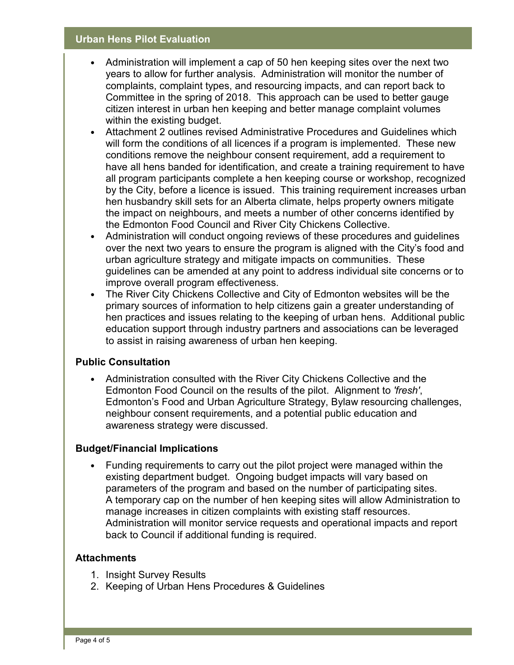- Administration will implement a cap of 50 hen keeping sites over the next two years to allow for further analysis. Administration will monitor the number of complaints, complaint types, and resourcing impacts, and can report back to Committee in the spring of 2018. This approach can be used to better gauge citizen interest in urban hen keeping and better manage complaint volumes within the existing budget.
- Attachment 2 outlines revised Administrative Procedures and Guidelines which will form the conditions of all licences if a program is implemented. These new conditions remove the neighbour consent requirement, add a requirement to have all hens banded for identification, and create a training requirement to have all program participants complete a hen keeping course or workshop, recognized by the City, before a licence is issued. This training requirement increases urban hen husbandry skill sets for an Alberta climate, helps property owners mitigate the impact on neighbours, and meets a number of other concerns identified by the Edmonton Food Council and River City Chickens Collective.
- Administration will conduct ongoing reviews of these procedures and guidelines over the next two years to ensure the program is aligned with the City's food and urban agriculture strategy and mitigate impacts on communities. These guidelines can be amended at any point to address individual site concerns or to improve overall program effectiveness.
- The River City Chickens Collective and City of Edmonton websites will be the primary sources of information to help citizens gain a greater understanding of hen practices and issues relating to the keeping of urban hens. Additional public education support through industry partners and associations can be leveraged to assist in raising awareness of urban hen keeping.

# **Public Consultation**

• Administration consulted with the River City Chickens Collective and the Edmonton Food Council on the results of the pilot. Alignment to *'fresh'*, Edmonton's Food and Urban Agriculture Strategy, Bylaw resourcing challenges, neighbour consent requirements, and a potential public education and awareness strategy were discussed.

#### **Budget/Financial Implications**

• Funding requirements to carry out the pilot project were managed within the existing department budget. Ongoing budget impacts will vary based on parameters of the program and based on the number of participating sites. A temporary cap on the number of hen keeping sites will allow Administration to manage increases in citizen complaints with existing staff resources. Administration will monitor service requests and operational impacts and report back to Council if additional funding is required.

#### **Attachments**

- 1. Insight Survey Results
- 2. Keeping of Urban Hens Procedures & Guidelines